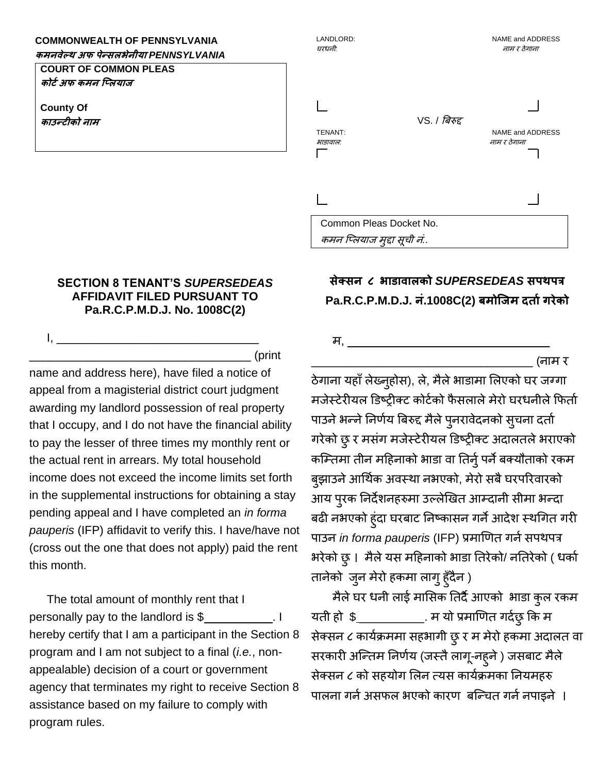## **COMMONWEALTH OF PENNSYLVANIA**

**कमनवेल्थ अफ पेन्सलभेनीया** *PENNSYLVANIA*

**COURT OF COMMON PLEAS कोर्टअफ कमन प्ललयाज**

**County Of काउन्र्ीको नाम**

 $I, \ldots$ 

## LANDLORD: NAME and ADDRESS घरधनी*:* नाम <sup>र</sup> ठेगाना VS. / बिरुद्द TENANT: NAME and ADDRESS भाडावाल*:* नाम <sup>र</sup> ठेगाना Common Pleas Docket No. कमन प्ललयाज मुद्दा सूची नं*.*.

## **SECTION 8 TENANT'S** *SUPERSEDEAS*  **AFFIDAVIT FILED PURSUANT TO Pa.R.C.P.M.D.J. No. 1008C(2)**

\_\_\_\_\_\_\_\_\_\_\_\_\_\_\_\_\_\_\_\_\_\_\_\_\_\_\_\_\_\_\_\_\_\_ (print

name and address here), have filed a notice of appeal from a magisterial district court judgment awarding my landlord possession of real property that I occupy, and I do not have the financial ability to pay the lesser of three times my monthly rent or the actual rent in arrears. My total household income does not exceed the income limits set forth in the supplemental instructions for obtaining a stay pending appeal and I have completed an *in forma pauperis* (IFP) affidavit to verify this. I have/have not (cross out the one that does not apply) paid the rent this month.

The total amount of monthly rent that I personally pay to the landlord is \$ \_\_\_\_\_\_\_\_\_\_. I hereby certify that I am a participant in the Section 8 program and I am not subject to a final (*i.e.*, nonappealable) decision of a court or government agency that terminates my right to receive Section 8 assistance based on my failure to comply with program rules.

## **सेक्सन ८ भाडावालको** *SUPERSEDEAS* **सपथपत्र Pa.R.C.P.M.D.J. नं.1008C(2) बमोप्जम दर्ाटगरेको**

म,

\_\_\_\_\_\_\_\_\_\_\_\_\_\_\_\_\_\_\_\_\_\_\_\_\_\_\_\_\_\_\_\_\_\_ (नाम र

ठेगाना यहाँ लेख्नुहोस), ले, मैले भाडामा लिएको घर जग्गा मजेस्टेरीयल डिष्ट्रीक्ट कोर्टको फैसलाले मेरो घरधनीले फिर्ता पाउने भन्ने निर्णय बिरुद्द मैले पुनरावेदनको सुचना दर्ता गरेको छु र मसंग मजेस्टेरीयल डिष्ट्रीक्ट अदालतले भराएको कम्तिमा तीन महिनाको भाडा वा तिर्नु पर्ने बक्यौताको रकम बुझाउने आर्थिक अवस्था नभएको, मेरो सबै घरपरिवारको आय पुरक ननदेशनहरुमा उल्लेखिर् आतदानी सीमा भन्दा बढी नभएको हुंदा घरबाट निष्कासन गर्ने आदेश स्थगित गरी पाउन *in forma pauperis* (IFP) प्रमाणित गर्न सपथपत्र भरेको छु। मैलेयस महहनाको भाडा नर्रेको/ ननर्रेको ( धकाट र्ानेको जुन मेरो हकमा लागुहुाँदैन )

मैलेघर धनी लाई मालसक नर्दैआएको भाडा कुल रकम यती हो  $\frac{1}{2}$  \_\_\_\_\_\_\_\_\_\_\_\_. म यो प्रमाणित गर्दछु कि म सेक्सन ८ कायटक्रममा सहभागी छुर म मेरो हकमा अदालर् वा सरकारी अन्तिम निर्णय (जस्तै लागू-नहुने ) जसबाट मैले सेक्सन ८ को सहयोग ललन त्यस कायटक्रमका ननयमहरु पालना गर्न असफल भएको कारण बन्चित गर्न नपाइने ।